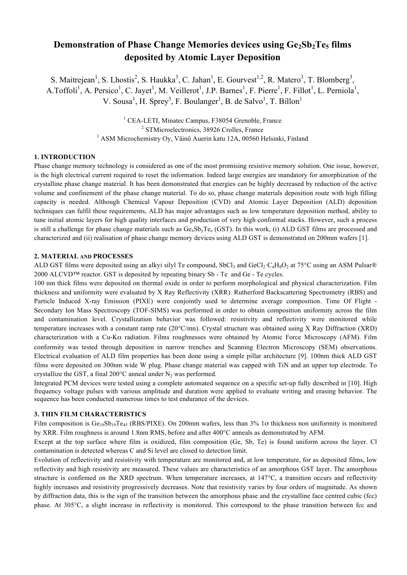# **Demonstration of Phase Change Memories devices using**  $Ge_2Sb_2Te_5$  **films deposited by Atomic Layer Deposition**

S. Maitrejean<sup>1</sup>, S. Lhostis<sup>2</sup>, S. Haukka<sup>3</sup>, C. Jahan<sup>1</sup>, E. Gourvest<sup>1,2</sup>, R. Matero<sup>3</sup>, T. Blomberg<sup>3</sup>, A.Toffoli<sup>1</sup>, A. Persico<sup>1</sup>, C. Jayet<sup>1</sup>, M. Veillerot<sup>1</sup>, J.P. Barnes<sup>1</sup>, F. Pierre<sup>1</sup>, F. Fillot<sup>1</sup>, L. Perniola<sup>1</sup>, V. Sousa<sup>1</sup>, H. Sprey<sup>3</sup>, F. Boulanger<sup>1</sup>, B. de Salvo<sup>1</sup>, T. Billon<sup>1</sup>

> <sup>1</sup> CEA-LETI, Minatec Campus, F38054 Grenoble, France <sup>2</sup> STMicroelectronics, 38926 Crolles, France <sup>3</sup> ASM Microchemistry Oy, Väinö Auerin katu 12A, 00560 Helsinki, Finland

## **1. INTRODUCTION**

Phase change memory technology is considered as one of the most promising resistive memory solution. One issue, however, is the high electrical current required to reset the information. Indeed large energies are mandatory for amorphization of the crystalline phase change material. It has been demonstrated that energies can be highly decreased by reduction of the active volume and confinement of the phase change material. To do so, phase change materials deposition route with high filling capacity is needed. Although Chemical Vapour Deposition (CVD) and Atomic Layer Deposition (ALD) deposition techniques can fulfil these requirements, ALD has major advantages such as low temperature deposition method, ability to tune initial atomic layers for high quality interfaces and production of very high conformal stacks. However, such a process is still a challenge for phase change materials such as  $Ge<sub>x</sub>Sb<sub>y</sub>Te<sub>z</sub>$  (GST). In this work, (i) ALD GST films are processed and characterized and (ii) realisation of phase change memory devices using ALD GST is demonstrated on 200mm wafers [1].

### **2. MATERIAL AND PROCESSES**

ALD GST films were deposited using an alkyi silyl Te compound, SbCl<sub>3</sub> and GeCl<sub>2</sub>·C<sub>4</sub>H<sub>8</sub>O<sub>2</sub> at 75<sup>o</sup>C using an ASM Pulsar®  $2000$  ALCVD<sup>TM</sup> reactor. GST is deposited by repeating binary Sb - Te and Ge - Te cycles.

100 nm thick films were deposited on thermal oxide in order to perform morphological and physical characterization. Film thickness and uniformity were evaluated by X Ray Reflectivity (XRR). Rutherford Backscattering Spectrometry (RBS) and Particle Induced X-ray Emission (PIXE) were conjointly used to determine average composition. Time Of Flight - Secondary Ion Mass Spectroscopy (TOF-SIMS) was performed in order to obtain composition uniformity across the film and contamination level. Crystallization behavior was followed: resistivity and reflectivity were monitored while temperature increases with a constant ramp rate (20°C/mn). Crystal structure was obtained using X Ray Diffraction (XRD) characterization with a Cu-K $\alpha$  radiation. Films roughnesses were obtained by Atomic Force Microscopy (AFM). Film conformity was tested through deposition in narrow trenches and Scanning Electron Microscopy (SEM) observations. Electrical evaluation of ALD film properties has been done using a simple pillar architecture [9]. 100nm thick ALD GST films were deposited on 300nm wide W plug. Phase change material was capped with TiN and an upper top electrode. To crystallize the GST, a final 200 $^{\circ}$ C anneal under N<sub>2</sub> was performed.

Integrated PCM devices were tested using a complete automated sequence on a specific set-up fully described in [10]. High frequency voltage pulses with various amplitude and duration were applied to evaluate writing and erasing behavior. The sequence has been conducted numerous times to test endurance of the devices.

## **3. THIN FILM CHARACTERISTICS**

Film composition is  $Ge_{19}Sb_{19}Te_{45}$  (RBS/PIXE). On 200mm wafers, less than 3% 1 $\sigma$  thickness non uniformity is monitored by XRR. Film roughness is around 1.8nm RMS, before and after 400°C anneals as demonstrated by AFM.

Except at the top surface where film is oxidized, film composition (Ge, Sb, Te) is found uniform across the layer. Cl contamination is detected whereas C and Si level are closed to detection limit.

Evolution of reflectivity and resistivity with temperature are monitored and, at low temperature, for as deposited films, low reflectivity and high resistivity are measured. These values are characteristics of an amorphous GST layer. The amorphous structure is confirmed on the XRD spectrum. When temperature increases, at 147°C, a transition occurs and reflectivity highly increases and resistivity progressively decreases. Note that resistivity varies by four orders of magnitude. As shown by diffraction data, this is the sign of the transition between the amorphous phase and the crystalline face centred cubic (fcc) phase. At 305°C, a slight increase in reflectivity is monitored. This correspond to the phase transition between fcc and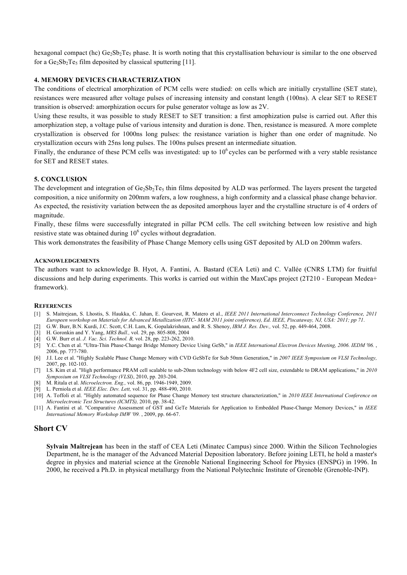hexagonal compact (hc)  $Ge_2Sb_2Te_5$  phase. It is worth noting that this crystallisation behaviour is similar to the one observed for a  $Ge_2Sb_2Te_5$  film deposited by classical sputtering [11].

## **4. MEMORY DEVICES CHARACTERIZATION**

The conditions of electrical amorphization of PCM cells were studied: on cells which are initially crystalline (SET state), resistances were measured after voltage pulses of increasing intensity and constant length (100ns). A clear SET to RESET transition is observed: amorphization occurs for pulse generator voltage as low as 2V.

Using these results, it was possible to study RESET to SET transition: a first amophization pulse is carried out. After this amorphization step, a voltage pulse of various intensity and duration is done. Then, resistance is measured. A more complete crystallization is observed for 1000ns long pulses: the resistance variation is higher than one order of magnitude. No crystallization occurs with 25ns long pulses. The 100ns pulses present an intermediate situation.

Finally, the endurance of these PCM cells was investigated: up to  $10<sup>6</sup>$  cycles can be performed with a very stable resistance for SET and RESET states.

## **5. CONCLUSION**

The development and integration of  $Ge_2Sb_2Te_5$  thin films deposited by ALD was performed. The layers present the targeted composition, a nice uniformity on 200mm wafers, a low roughness, a high conformity and a classical phase change behavior. As expected, the resistivity variation between the as deposited amorphous layer and the crystalline structure is of 4 orders of magnitude.

Finally, these films were successfully integrated in pillar PCM cells. The cell switching between low resistive and high resistive state was obtained during  $10<sup>6</sup>$  cycles without degradation.

This work demonstrates the feasibility of Phase Change Memory cells using GST deposited by ALD on 200mm wafers.

### **ACKNOWLEDGEMENTS**

The authors want to acknowledge B. Hyot, A. Fantini, A. Bastard (CEA Leti) and C. Vallée (CNRS LTM) for fruitful discussions and help during experiments. This works is carried out within the MaxCaps project (2T210 - European Medea+ framework).

#### **REFERENCES**

- [1] S. Maitrejean, S. Lhostis, S. Haukka, C. Jahan, E. Gourvest, R. Matero et al., *IEEE 2011 International Interconnect Technology Conference, 2011 Europeen workshop on Materials for Advanced Metallization (IITC- MAM 2011 joint conference), Ed. IEEE, Piscataway, NJ, USA: 2011; pp 71*.
- [2] G.W. Burr, B.N. Kurdi, J.C. Scott, C.H. Lam, K. Gopalakrishnan, and R. S. Shenoy, *IBM J. Res. Dev.,* vol. 52, pp. 449-464, 2008.
- [3] H. Goronkin and Y. Yang, *MRS Bull.,* vol. 29, pp. 805-808, 2004
- [4] G.W. Burr et al. *J. Vac. Sci. Technol. B,* vol. 28, pp. 223-262, 2010.
- [5] Y.C. Chen et al. "Ultra-Thin Phase-Change Bridge Memory Device Using GeSb," in *IEEE International Electron Devices Meeting, 2006. IEDM '06.* , 2006, pp. 777-780.
- [6] J.I. Lee et al. "Highly Scalable Phase Change Memory with CVD GeSbTe for Sub 50nm Generation," in *2007 IEEE Symposium on VLSI Technology,*  2007, pp. 102-103.
- [7] I.S. Kim et al. "High performance PRAM cell scalable to sub-20nm technology with below 4F2 cell size, extendable to DRAM applications," in *2010 Symposium on VLSI Technology (VLSI)*, 2010, pp. 203-204.
- [8] M. Ritala et al. *Microelectron. Eng.,* vol. 86, pp. 1946-1949, 2009.
- [9] L. Perniola et al. *IEEE Elec. Dev. Lett,* vol. 31, pp. 488-490, 2010.
- [10] A. Toffoli et al. "Highly automated sequence for Phase Change Memory test structure characterization," in *2010 IEEE International Conference on Microelectronic Test Structures (ICMTS),* 2010, pp. 38-42.
- [11] A. Fantini et al. "Comparative Assessment of GST and GeTe Materials for Application to Embedded Phase-Change Memory Devices," in *IEEE International Memory Workshop IMW '09.* , 2009, pp. 66-67.

# **Short CV**

**Sylvain Maîtrejean** has been in the staff of CEA Leti (Minatec Campus) since 2000. Within the Silicon Technologies Department, he is the manager of the Advanced Material Deposition laboratory. Before joining LETI, he hold a master's degree in physics and material science at the Grenoble National Engineering School for Physics (ENSPG) in 1996. In 2000, he received a Ph.D. in physical metallurgy from the National Polytechnic Institute of Grenoble (Grenoble-INP).